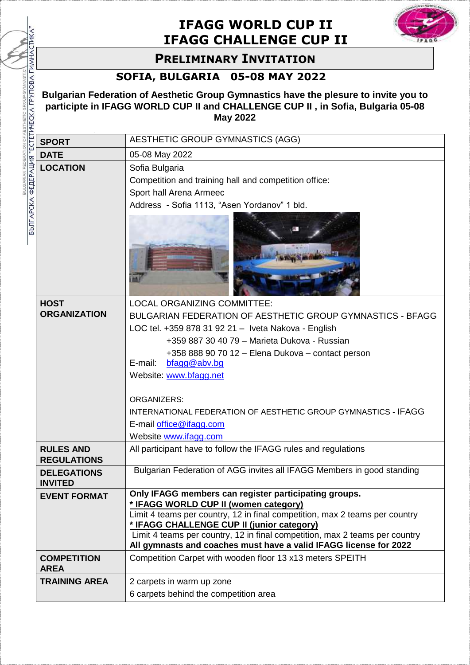## **IFAGG WORLD CUP II IFAGG CHALLENGE CUP II**



## **PRELIMINARY INVITATION**

## **SOFIA, BULGARIA 05-08 MAY 2022**

BULGARIAN FEDERATION OF AESTHETIC GROUP GYM

|                                                | <b>PRELIMINARY INVITATION</b>                                                                                                                                                              |                                                                                                                                                                                                                                                                                                                                                                                 |  |  |
|------------------------------------------------|--------------------------------------------------------------------------------------------------------------------------------------------------------------------------------------------|---------------------------------------------------------------------------------------------------------------------------------------------------------------------------------------------------------------------------------------------------------------------------------------------------------------------------------------------------------------------------------|--|--|
|                                                | SOFIA, BULGARIA 05-08 MAY 2022                                                                                                                                                             |                                                                                                                                                                                                                                                                                                                                                                                 |  |  |
|                                                | Bulgarian Federation of Aesthetic Group Gymnastics have the plesure to invite you to<br>participte in IFAGG WORLD CUP II and CHALLENGE CUP II, in Sofia, Bulgaria 05-08<br><b>May 2022</b> |                                                                                                                                                                                                                                                                                                                                                                                 |  |  |
|                                                | <b>SPORT</b>                                                                                                                                                                               | AESTHETIC GROUP GYMNASTICS (AGG)                                                                                                                                                                                                                                                                                                                                                |  |  |
|                                                | <b>DATE</b>                                                                                                                                                                                | 05-08 May 2022                                                                                                                                                                                                                                                                                                                                                                  |  |  |
| БЪЛГАРСКА ФЕДЕРАЦИЯ "ЕСТЕТИЧЕСКА ГРУПОВА ГИМНА | <b>LOCATION</b>                                                                                                                                                                            | Sofia Bulgaria<br>Competition and training hall and competition office:<br>Sport hall Arena Armeec<br>Address - Sofia 1113, "Asen Yordanov" 1 bld.                                                                                                                                                                                                                              |  |  |
|                                                |                                                                                                                                                                                            |                                                                                                                                                                                                                                                                                                                                                                                 |  |  |
|                                                | <b>HOST</b><br><b>ORGANIZATION</b>                                                                                                                                                         | LOCAL ORGANIZING COMMITTEE:<br>BULGARIAN FEDERATION OF AESTHETIC GROUP GYMNASTICS - BFAGG<br>LOC tel. +359 878 31 92 21 - Iveta Nakova - English<br>+359 887 30 40 79 - Marieta Dukova - Russian<br>+358 888 90 70 12 - Elena Dukova - contact person<br>E-mail:<br>bfagg@abv.bg                                                                                                |  |  |
|                                                |                                                                                                                                                                                            | Website: www.bfagg.net<br><b>ORGANIZERS:</b><br>INTERNATIONAL FEDERATION OF AESTHETIC GROUP GYMNASTICS - IFAGG<br>E-mail office@ifagg.com<br>Website www.ifagg.com                                                                                                                                                                                                              |  |  |
|                                                | <b>RULES AND</b><br><b>REGULATIONS</b>                                                                                                                                                     | All participant have to follow the IFAGG rules and regulations                                                                                                                                                                                                                                                                                                                  |  |  |
|                                                | <b>DELEGATIONS</b><br><b>INVITED</b>                                                                                                                                                       | Bulgarian Federation of AGG invites all IFAGG Members in good standing                                                                                                                                                                                                                                                                                                          |  |  |
|                                                | <b>EVENT FORMAT</b>                                                                                                                                                                        | Only IFAGG members can register participating groups.<br>* IFAGG WORLD CUP II (women category)<br>Limit 4 teams per country, 12 in final competition, max 2 teams per country<br>* IFAGG CHALLENGE CUP II (junior category)<br>Limit 4 teams per country, 12 in final competition, max 2 teams per country<br>All gymnasts and coaches must have a valid IFAGG license for 2022 |  |  |
|                                                | <b>COMPETITION</b><br><b>AREA</b>                                                                                                                                                          | Competition Carpet with wooden floor 13 x13 meters SPEITH                                                                                                                                                                                                                                                                                                                       |  |  |
|                                                | <b>TRAINING AREA</b>                                                                                                                                                                       | 2 carpets in warm up zone<br>6 carpets behind the competition area                                                                                                                                                                                                                                                                                                              |  |  |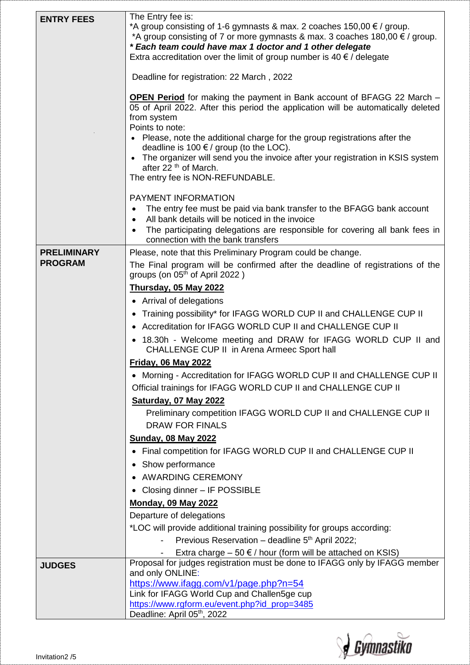| <b>ENTRY FEES</b>  | The Entry fee is:<br>*A group consisting of 1-6 gymnasts & max. 2 coaches $150,00 \in \ell$ group.<br>*A group consisting of 7 or more gymnasts & max. 3 coaches $180,00 \in \ell$ group.<br>* Each team could have max 1 doctor and 1 other delegate<br>Extra accreditation over the limit of group number is 40 $\epsilon$ / delegate                                                                                                                                                        |
|--------------------|------------------------------------------------------------------------------------------------------------------------------------------------------------------------------------------------------------------------------------------------------------------------------------------------------------------------------------------------------------------------------------------------------------------------------------------------------------------------------------------------|
|                    | Deadline for registration: 22 March, 2022                                                                                                                                                                                                                                                                                                                                                                                                                                                      |
|                    | <b>OPEN Period</b> for making the payment in Bank account of BFAGG 22 March -<br>05 of April 2022. After this period the application will be automatically deleted<br>from system<br>Points to note:<br>Please, note the additional charge for the group registrations after the<br>deadline is 100 $\epsilon$ / group (to the LOC).<br>The organizer will send you the invoice after your registration in KSIS system<br>after 22 <sup>th</sup> of March.<br>The entry fee is NON-REFUNDABLE. |
|                    | PAYMENT INFORMATION<br>The entry fee must be paid via bank transfer to the BFAGG bank account<br>All bank details will be noticed in the invoice<br>$\bullet$                                                                                                                                                                                                                                                                                                                                  |
|                    | The participating delegations are responsible for covering all bank fees in<br>connection with the bank transfers                                                                                                                                                                                                                                                                                                                                                                              |
| <b>PRELIMINARY</b> | Please, note that this Preliminary Program could be change.                                                                                                                                                                                                                                                                                                                                                                                                                                    |
| <b>PROGRAM</b>     | The Final program will be confirmed after the deadline of registrations of the<br>groups (on 05 <sup>th</sup> of April 2022)                                                                                                                                                                                                                                                                                                                                                                   |
|                    | <b>Thursday, 05 May 2022</b>                                                                                                                                                                                                                                                                                                                                                                                                                                                                   |
|                    | • Arrival of delegations                                                                                                                                                                                                                                                                                                                                                                                                                                                                       |
|                    | Training possibility* for IFAGG WORLD CUP II and CHALLENGE CUP II<br>$\bullet$                                                                                                                                                                                                                                                                                                                                                                                                                 |
|                    | Accreditation for IFAGG WORLD CUP II and CHALLENGE CUP II                                                                                                                                                                                                                                                                                                                                                                                                                                      |
|                    | • 18.30h - Welcome meeting and DRAW for IFAGG WORLD CUP II and<br><b>CHALLENGE CUP II in Arena Armeec Sport hall</b>                                                                                                                                                                                                                                                                                                                                                                           |
|                    | <b>Friday, 06 May 2022</b>                                                                                                                                                                                                                                                                                                                                                                                                                                                                     |
|                    | • Morning - Accreditation for IFAGG WORLD CUP II and CHALLENGE CUP II                                                                                                                                                                                                                                                                                                                                                                                                                          |
|                    | Official trainings for IFAGG WORLD CUP II and CHALLENGE CUP II                                                                                                                                                                                                                                                                                                                                                                                                                                 |
|                    | Saturday, 07 May 2022                                                                                                                                                                                                                                                                                                                                                                                                                                                                          |
|                    | Preliminary competition IFAGG WORLD CUP II and CHALLENGE CUP II<br><b>DRAW FOR FINALS</b>                                                                                                                                                                                                                                                                                                                                                                                                      |
|                    | <b>Sunday, 08 May 2022</b>                                                                                                                                                                                                                                                                                                                                                                                                                                                                     |
|                    | Final competition for IFAGG WORLD CUP II and CHALLENGE CUP II                                                                                                                                                                                                                                                                                                                                                                                                                                  |
|                    | Show performance                                                                                                                                                                                                                                                                                                                                                                                                                                                                               |
|                    | • AWARDING CEREMONY                                                                                                                                                                                                                                                                                                                                                                                                                                                                            |
|                    | • Closing dinner - IF POSSIBLE                                                                                                                                                                                                                                                                                                                                                                                                                                                                 |
|                    | <b>Monday, 09 May 2022</b>                                                                                                                                                                                                                                                                                                                                                                                                                                                                     |
|                    | Departure of delegations                                                                                                                                                                                                                                                                                                                                                                                                                                                                       |
|                    | *LOC will provide additional training possibility for groups according:                                                                                                                                                                                                                                                                                                                                                                                                                        |
|                    | Previous Reservation - deadline 5 <sup>th</sup> April 2022;                                                                                                                                                                                                                                                                                                                                                                                                                                    |
| <b>JUDGES</b>      | Extra charge $-50 \notin /$ hour (form will be attached on KSIS)<br>Proposal for judges registration must be done to IFAGG only by IFAGG member<br>and only ONLINE:                                                                                                                                                                                                                                                                                                                            |
|                    | https://www.ifagg.com/v1/page.php?n=54                                                                                                                                                                                                                                                                                                                                                                                                                                                         |
|                    | Link for IFAGG World Cup and Challen5ge cup                                                                                                                                                                                                                                                                                                                                                                                                                                                    |
|                    | https://www.rgform.eu/event.php?id_prop=3485<br>Deadline: April 05th, 2022                                                                                                                                                                                                                                                                                                                                                                                                                     |

**J** Gymnastiko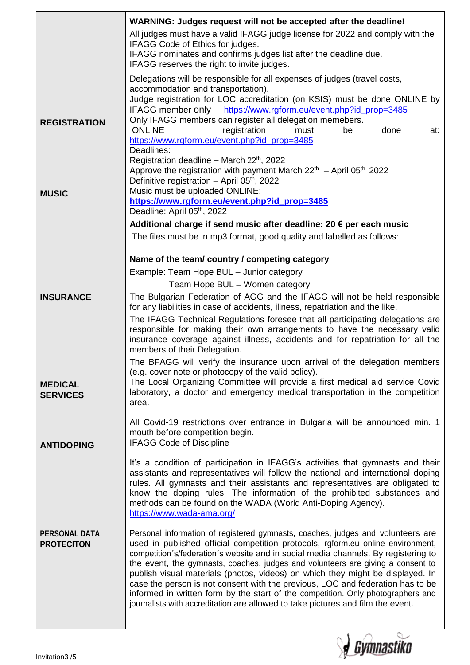|                                           | WARNING: Judges request will not be accepted after the deadline!<br>All judges must have a valid IFAGG judge license for 2022 and comply with the<br>IFAGG Code of Ethics for judges.<br>IFAGG nominates and confirms judges list after the deadline due.<br>IFAGG reserves the right to invite judges.                                                                                                                                                                                                                                                                                                                                                                                |
|-------------------------------------------|----------------------------------------------------------------------------------------------------------------------------------------------------------------------------------------------------------------------------------------------------------------------------------------------------------------------------------------------------------------------------------------------------------------------------------------------------------------------------------------------------------------------------------------------------------------------------------------------------------------------------------------------------------------------------------------|
|                                           | Delegations will be responsible for all expenses of judges (travel costs,<br>accommodation and transportation).<br>Judge registration for LOC accreditation (on KSIS) must be done ONLINE by<br>IFAGG member only https://www.rgform.eu/event.php?id_prop=3485                                                                                                                                                                                                                                                                                                                                                                                                                         |
| <b>REGISTRATION</b>                       | Only IFAGG members can register all delegation memebers.<br><b>ONLINE</b><br>registration<br>done<br>at:<br>must<br>be<br>https://www.rgform.eu/event.php?id_prop=3485<br>Deadlines:<br>Registration deadline - March $22th$ , 2022                                                                                                                                                                                                                                                                                                                                                                                                                                                    |
|                                           | Approve the registration with payment March $22th$ – April 05 <sup>th</sup> 2022<br>Definitive registration - April 05th, 2022                                                                                                                                                                                                                                                                                                                                                                                                                                                                                                                                                         |
| <b>MUSIC</b>                              | Music must be uploaded ONLINE:<br>https://www.rgform.eu/event.php?id_prop=3485<br>Deadline: April 05th, 2022                                                                                                                                                                                                                                                                                                                                                                                                                                                                                                                                                                           |
|                                           | Additional charge if send music after deadline: 20 € per each music                                                                                                                                                                                                                                                                                                                                                                                                                                                                                                                                                                                                                    |
|                                           | The files must be in mp3 format, good quality and labelled as follows:                                                                                                                                                                                                                                                                                                                                                                                                                                                                                                                                                                                                                 |
|                                           | Name of the team/country / competing category                                                                                                                                                                                                                                                                                                                                                                                                                                                                                                                                                                                                                                          |
|                                           | Example: Team Hope BUL - Junior category                                                                                                                                                                                                                                                                                                                                                                                                                                                                                                                                                                                                                                               |
|                                           | Team Hope BUL - Women category                                                                                                                                                                                                                                                                                                                                                                                                                                                                                                                                                                                                                                                         |
| <b>INSURANCE</b>                          | The Bulgarian Federation of AGG and the IFAGG will not be held responsible<br>for any liabilities in case of accidents, illness, repatriation and the like.                                                                                                                                                                                                                                                                                                                                                                                                                                                                                                                            |
|                                           | The IFAGG Technical Regulations foresee that all participating delegations are<br>responsible for making their own arrangements to have the necessary valid<br>insurance coverage against illness, accidents and for repatriation for all the<br>members of their Delegation.                                                                                                                                                                                                                                                                                                                                                                                                          |
|                                           | The BFAGG will verify the insurance upon arrival of the delegation members                                                                                                                                                                                                                                                                                                                                                                                                                                                                                                                                                                                                             |
| <b>MEDICAL</b><br><b>SERVICES</b>         | (e.g. cover note or photocopy of the valid policy).<br>The Local Organizing Committee will provide a first medical aid service Covid<br>laboratory, a doctor and emergency medical transportation in the competition                                                                                                                                                                                                                                                                                                                                                                                                                                                                   |
|                                           | area.                                                                                                                                                                                                                                                                                                                                                                                                                                                                                                                                                                                                                                                                                  |
|                                           | All Covid-19 restrictions over entrance in Bulgaria will be announced min. 1<br>mouth before competition begin.                                                                                                                                                                                                                                                                                                                                                                                                                                                                                                                                                                        |
| <b>ANTIDOPING</b>                         | <b>IFAGG Code of Discipline</b>                                                                                                                                                                                                                                                                                                                                                                                                                                                                                                                                                                                                                                                        |
|                                           | It's a condition of participation in IFAGG's activities that gymnasts and their<br>assistants and representatives will follow the national and international doping<br>rules. All gymnasts and their assistants and representatives are obligated to<br>know the doping rules. The information of the prohibited substances and<br>methods can be found on the WADA (World Anti-Doping Agency).<br>https://www.wada-ama.org/                                                                                                                                                                                                                                                           |
| <b>PERSONAL DATA</b><br><b>PROTECITON</b> | Personal information of registered gymnasts, coaches, judges and volunteers are<br>used in published official competition protocols, rgform.eu online environment,<br>competition's/federation's website and in social media channels. By registering to<br>the event, the gymnasts, coaches, judges and volunteers are giving a consent to<br>publish visual materials (photos, videos) on which they might be displayed. In<br>case the person is not consent with the previous, LOC and federation has to be<br>informed in written form by the start of the competition. Only photographers and<br>journalists with accreditation are allowed to take pictures and film the event. |
| Invitation3 /5                            |                                                                                                                                                                                                                                                                                                                                                                                                                                                                                                                                                                                                                                                                                        |
|                                           |                                                                                                                                                                                                                                                                                                                                                                                                                                                                                                                                                                                                                                                                                        |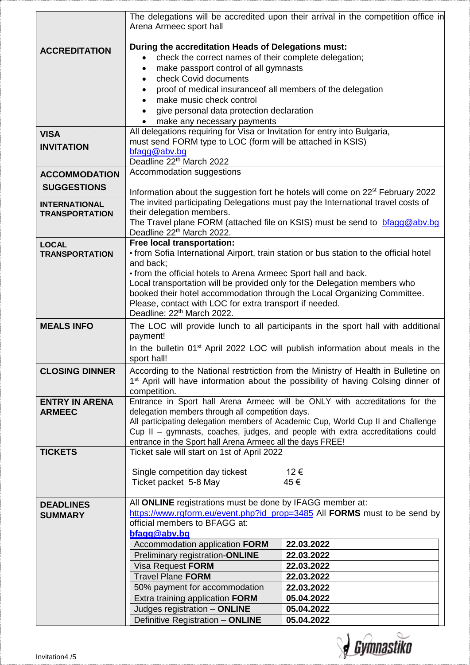|                       | The delegations will be accredited upon their arrival in the competition office in<br>Arena Armeec sport hall                                         |                                                                                             |  |
|-----------------------|-------------------------------------------------------------------------------------------------------------------------------------------------------|---------------------------------------------------------------------------------------------|--|
|                       | During the accreditation Heads of Delegations must:                                                                                                   |                                                                                             |  |
| <b>ACCREDITATION</b>  | check the correct names of their complete delegation;                                                                                                 |                                                                                             |  |
|                       |                                                                                                                                                       |                                                                                             |  |
|                       | make passport control of all gymnasts<br>$\bullet$<br>check Covid documents                                                                           |                                                                                             |  |
|                       | $\bullet$                                                                                                                                             |                                                                                             |  |
|                       | proof of medical insurance of all members of the delegation                                                                                           |                                                                                             |  |
|                       | make music check control                                                                                                                              |                                                                                             |  |
|                       | give personal data protection declaration                                                                                                             |                                                                                             |  |
|                       | make any necessary payments<br>All delegations requiring for Visa or Invitation for entry into Bulgaria,                                              |                                                                                             |  |
| <b>VISA</b>           |                                                                                                                                                       |                                                                                             |  |
| <b>INVITATION</b>     | must send FORM type to LOC (form will be attached in KSIS)<br>bfagg@abv.bg                                                                            |                                                                                             |  |
|                       | Deadline 22 <sup>th</sup> March 2022                                                                                                                  |                                                                                             |  |
| <b>ACCOMMODATION</b>  | Accommodation suggestions                                                                                                                             |                                                                                             |  |
|                       |                                                                                                                                                       |                                                                                             |  |
| <b>SUGGESTIONS</b>    | Information about the suggestion fort he hotels will come on 22 <sup>st</sup> February 2022                                                           |                                                                                             |  |
| <b>INTERNATIONAL</b>  | The invited participating Delegations must pay the International travel costs of                                                                      |                                                                                             |  |
| <b>TRANSPORTATION</b> | their delegation members.                                                                                                                             |                                                                                             |  |
|                       | The Travel plane FORM (attached file on KSIS) must be send to bragg@abv.bg                                                                            |                                                                                             |  |
|                       | Deadline 22 <sup>th</sup> March 2022.                                                                                                                 |                                                                                             |  |
| <b>LOCAL</b>          | Free local transportation:                                                                                                                            |                                                                                             |  |
| <b>TRANSPORTATION</b> | • from Sofia International Airport, train station or bus station to the official hotel                                                                |                                                                                             |  |
|                       | and back;                                                                                                                                             |                                                                                             |  |
|                       | • from the official hotels to Arena Armeec Sport hall and back.                                                                                       |                                                                                             |  |
|                       | Local transportation will be provided only for the Delegation members who<br>booked their hotel accommodation through the Local Organizing Committee. |                                                                                             |  |
|                       | Please, contact with LOC for extra transport if needed.                                                                                               |                                                                                             |  |
|                       | Deadline: 22 <sup>th</sup> March 2022.                                                                                                                |                                                                                             |  |
| <b>MEALS INFO</b>     | The LOC will provide lunch to all participants in the sport hall with additional                                                                      |                                                                                             |  |
|                       | payment!                                                                                                                                              |                                                                                             |  |
|                       |                                                                                                                                                       | In the bulletin 01 <sup>st</sup> April 2022 LOC will publish information about meals in the |  |
|                       | sport hall!                                                                                                                                           |                                                                                             |  |
| <b>CLOSING DINNER</b> |                                                                                                                                                       | According to the National restrtiction from the Ministry of Health in Bulletine on          |  |
|                       | 1 <sup>st</sup> April will have information about the possibility of having Colsing dinner of                                                         |                                                                                             |  |
|                       | competition.                                                                                                                                          |                                                                                             |  |
| <b>ENTRY IN ARENA</b> | Entrance in Sport hall Arena Armeec will be ONLY with accreditations for the                                                                          |                                                                                             |  |
| <b>ARMEEC</b>         | delegation members through all competition days.                                                                                                      |                                                                                             |  |
|                       |                                                                                                                                                       | All participating delegation members of Academic Cup, World Cup II and Challenge            |  |
|                       | Cup II - gymnasts, coaches, judges, and people with extra accreditations could                                                                        |                                                                                             |  |
|                       | entrance in the Sport hall Arena Armeec all the days FREE!                                                                                            |                                                                                             |  |
| <b>TICKETS</b>        | Ticket sale will start on 1st of April 2022                                                                                                           |                                                                                             |  |
|                       | Single competition day tickest                                                                                                                        | 12€                                                                                         |  |
|                       | Ticket packet 5-8 May                                                                                                                                 | 45€                                                                                         |  |
|                       |                                                                                                                                                       |                                                                                             |  |
| <b>DEADLINES</b>      | All ONLINE registrations must be done by IFAGG member at:                                                                                             |                                                                                             |  |
| <b>SUMMARY</b>        | https://www.rgform.eu/event.php?id_prop=3485 All FORMS must to be send by                                                                             |                                                                                             |  |
|                       | official members to BFAGG at:                                                                                                                         |                                                                                             |  |
|                       | bfagg@abv.bg                                                                                                                                          |                                                                                             |  |
|                       | Accommodation application FORM                                                                                                                        | 22.03.2022                                                                                  |  |
|                       | Preliminary registration-ONLINE                                                                                                                       | 22.03.2022                                                                                  |  |
|                       | Visa Request FORM                                                                                                                                     | 22.03.2022                                                                                  |  |
|                       | <b>Travel Plane FORM</b>                                                                                                                              | 22.03.2022                                                                                  |  |
|                       | 50% payment for accommodation                                                                                                                         | 22.03.2022                                                                                  |  |
|                       | Extra training application FORM                                                                                                                       | 05.04.2022                                                                                  |  |
|                       | Judges registration - ONLINE                                                                                                                          | 05.04.2022                                                                                  |  |
|                       | Definitive Registration - ONLINE                                                                                                                      | 05.04.2022                                                                                  |  |

**J** Gymnastiko